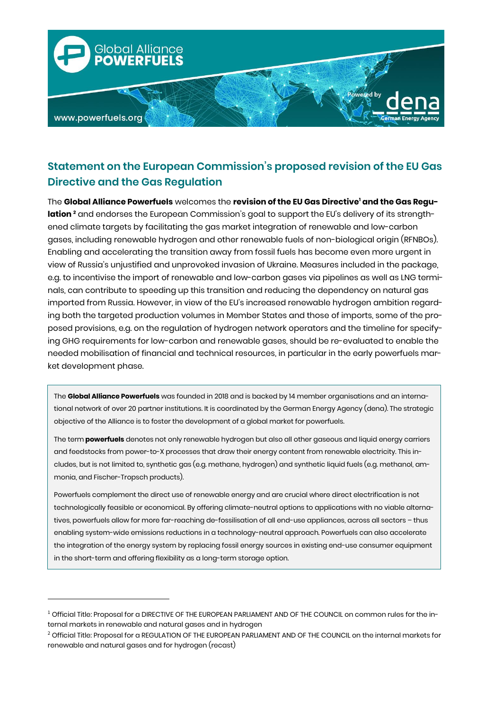

# **Statement on the European Commission's proposed revision of the EU Gas Directive and the Gas Regulation**

The **Global Alliance Powerfuels** welcomes the **revision of the EU Gas Directive<sup>1</sup> and the Gas Regulation <sup>2</sup>** and endorses the European Commission's goal to support the EU's delivery of its strengthened climate targets by facilitating the gas market integration of renewable and low-carbon gases, including renewable hydrogen and other renewable fuels of non-biological origin (RFNBOs). Enabling and accelerating the transition away from fossil fuels has become even more urgent in view of Russia's unjustified and unprovoked invasion of Ukraine. Measures included in the package, e.g. to incentivise the import of renewable and low-carbon gases via pipelines as well as LNG terminals, can contribute to speeding up this transition and reducing the dependency on natural gas imported from Russia. However, in view of the EU's increased renewable hydrogen ambition regarding both the targeted production volumes in Member States and those of imports, some of the proposed provisions, e.g. on the regulation of hydrogen network operators and the timeline for specifying GHG requirements for low-carbon and renewable gases, should be re-evaluated to enable the needed mobilisation of financial and technical resources, in particular in the early powerfuels market development phase.

The **Global Alliance Powerfuels** was founded in 2018 and is backed by 14 member organisations and an international network of over 20 partner institutions. It is coordinated by the German Energy Agency (dena). The strategic objective of the Alliance is to foster the development of a global market for powerfuels.

The term **powerfuels** denotes not only renewable hydrogen but also all other gaseous and liquid energy carriers and feedstocks from power-to-X processes that draw their energy content from renewable electricity. This includes, but is not limited to, synthetic gas (e.g. methane, hydrogen) and synthetic liquid fuels (e.g. methanol, ammonia, and Fischer-Tropsch products).

Powerfuels complement the direct use of renewable energy and are crucial where direct electrification is not technologically feasible or economical. By offering climate-neutral options to applications with no viable alternatives, powerfuels allow for more far-reaching de-fossilisation of all end-use appliances, across all sectors – thus enabling system-wide emissions reductions in a technology-neutral approach. Powerfuels can also accelerate the integration of the energy system by replacing fossil energy sources in existing end-use consumer equipment in the short-term and offering flexibility as a long-term storage option.

1

 $1$  Official Title: Proposal for a DIRECTIVE OF THE EUROPEAN PARLIAMENT AND OF THE COUNCIL on common rules for the internal markets in renewable and natural gases and in hydrogen

<sup>&</sup>lt;sup>2</sup> Official Title: Proposal for a REGULATION OF THE EUROPEAN PARLIAMENT AND OF THE COUNCIL on the internal markets for renewable and natural gases and for hydrogen (recast)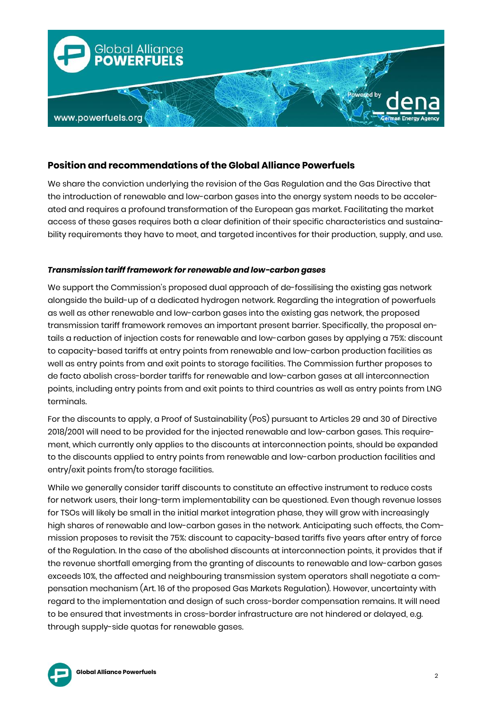

## **Position and recommendations of the Global Alliance Powerfuels**

We share the conviction underlying the revision of the Gas Regulation and the Gas Directive that the introduction of renewable and low-carbon gases into the energy system needs to be accelerated and requires a profound transformation of the European gas market. Facilitating the market access of these gases requires both a clear definition of their specific characteristics and sustainability requirements they have to meet, and targeted incentives for their production, supply, and use.

### *Transmission tariff framework for renewable and low-carbon gases*

We support the Commission's proposed dual approach of de-fossilising the existing gas network alongside the build-up of a dedicated hydrogen network. Regarding the integration of powerfuels as well as other renewable and low-carbon gases into the existing gas network, the proposed transmission tariff framework removes an important present barrier. Specifically, the proposal entails a reduction of injection costs for renewable and low-carbon gases by applying a 75%: discount to capacity-based tariffs at entry points from renewable and low-carbon production facilities as well as entry points from and exit points to storage facilities. The Commission further proposes to de facto abolish cross-border tariffs for renewable and low-carbon gases at all interconnection points, including entry points from and exit points to third countries as well as entry points from LNG terminals.

For the discounts to apply, a Proof of Sustainability (PoS) pursuant to Articles 29 and 30 of Directive 2018/2001 will need to be provided for the injected renewable and low-carbon gases. This requirement, which currently only applies to the discounts at interconnection points, should be expanded to the discounts applied to entry points from renewable and low-carbon production facilities and entry/exit points from/to storage facilities.

While we generally consider tariff discounts to constitute an effective instrument to reduce costs for network users, their long-term implementability can be questioned. Even though revenue losses for TSOs will likely be small in the initial market integration phase, they will grow with increasingly high shares of renewable and low-carbon gases in the network. Anticipating such effects, the Commission proposes to revisit the 75%: discount to capacity-based tariffs five years after entry of force of the Regulation. In the case of the abolished discounts at interconnection points, it provides that if the revenue shortfall emerging from the granting of discounts to renewable and low-carbon gases exceeds 10%, the affected and neighbouring transmission system operators shall negotiate a compensation mechanism (Art. 16 of the proposed Gas Markets Regulation). However, uncertainty with regard to the implementation and design of such cross-border compensation remains. It will need to be ensured that investments in cross-border infrastructure are not hindered or delayed, e.g. through supply-side quotas for renewable gases.

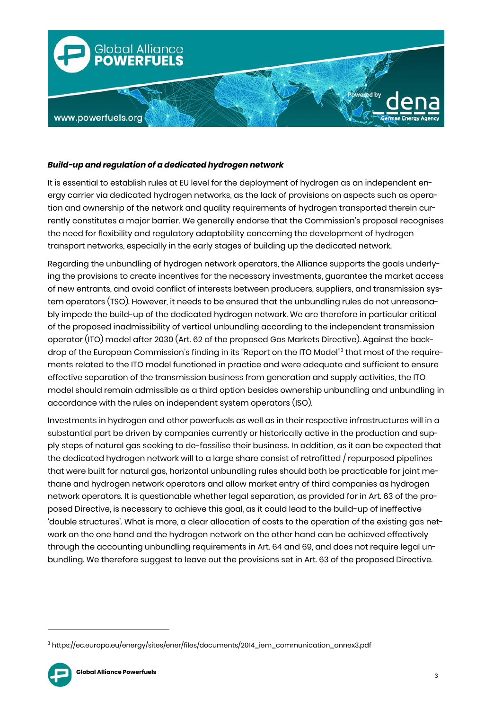

#### *Build-up and regulation of a dedicated hydrogen network*

It is essential to establish rules at EU level for the deployment of hydrogen as an independent energy carrier via dedicated hydrogen networks, as the lack of provisions on aspects such as operation and ownership of the network and quality requirements of hydrogen transported therein currently constitutes a major barrier. We generally endorse that the Commission's proposal recognises the need for flexibility and regulatory adaptability concerning the development of hydrogen transport networks, especially in the early stages of building up the dedicated network.

Regarding the unbundling of hydrogen network operators, the Alliance supports the goals underlying the provisions to create incentives for the necessary investments, guarantee the market access of new entrants, and avoid conflict of interests between producers, suppliers, and transmission system operators (TSO). However, it needs to be ensured that the unbundling rules do not unreasonably impede the build-up of the dedicated hydrogen network. We are therefore in particular critical of the proposed inadmissibility of vertical unbundling according to the independent transmission operator (ITO) model after 2030 (Art. 62 of the proposed Gas Markets Directive). Against the backdrop of the European Commission's finding in its "Report on the ITO Model" 3 that most of the requirements related to the ITO model functioned in practice and were adequate and sufficient to ensure effective separation of the transmission business from generation and supply activities, the ITO model should remain admissible as a third option besides ownership unbundling and unbundling in accordance with the rules on independent system operators (ISO).

Investments in hydrogen and other powerfuels as well as in their respective infrastructures will in a substantial part be driven by companies currently or historically active in the production and supply steps of natural gas seeking to de-fossilise their business. In addition, as it can be expected that the dedicated hydrogen network will to a large share consist of retrofitted / repurposed pipelines that were built for natural gas, horizontal unbundling rules should both be practicable for joint methane and hydrogen network operators and allow market entry of third companies as hydrogen network operators. It is questionable whether legal separation, as provided for in Art. 63 of the proposed Directive, is necessary to achieve this goal, as it could lead to the build-up of ineffective 'double structures'. What is more, a clear allocation of costs to the operation of the existing gas network on the one hand and the hydrogen network on the other hand can be achieved effectively through the accounting unbundling requirements in Art. 64 and 69, and does not require legal unbundling. We therefore suggest to leave out the provisions set in Art. 63 of the proposed Directive.

<sup>3</sup> https://ec.europa.eu/energy/sites/ener/files/documents/2014\_iem\_communication\_annex3.pdf



**.**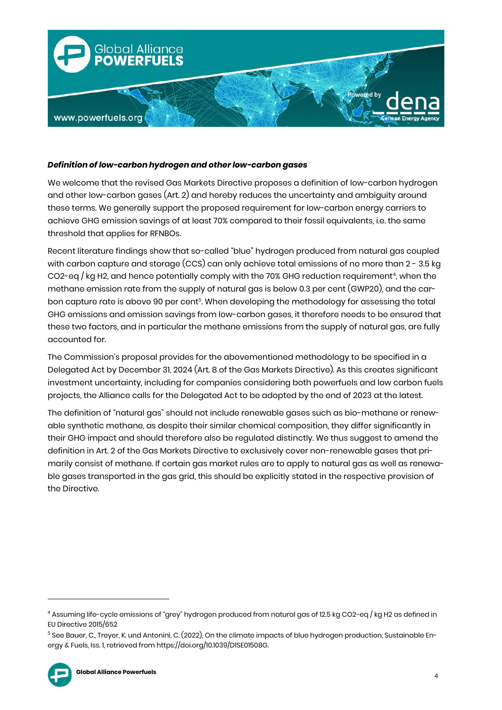

#### *Definition of low-carbon hydrogen and other low-carbon gases*

We welcome that the revised Gas Markets Directive proposes a definition of low-carbon hydrogen and other low-carbon gases (Art. 2) and hereby reduces the uncertainty and ambiguity around these terms. We generally support the proposed requirement for low-carbon energy carriers to achieve GHG emission savings of at least 70% compared to their fossil equivalents, i.e. the same threshold that applies for RFNBOs.

Recent literature findings show that so-called "blue" hydrogen produced from natural gas coupled with carbon capture and storage (CCS) can only achieve total emissions of no more than 2 - 3.5 kg CO2-eq / kg H2, and hence potentially comply with the 70% GHG reduction requirement<sup>4</sup>, when the methane emission rate from the supply of natural gas is below 0.3 per cent (GWP20), and the carbon capture rate is above 90 per cent<sup>5</sup>. When developing the methodology for assessing the total GHG emissions and emission savings from low-carbon gases, it therefore needs to be ensured that these two factors, and in particular the methane emissions from the supply of natural gas, are fully accounted for.

The Commission's proposal provides for the abovementioned methodology to be specified in a Delegated Act by December 31, 2024 (Art. 8 of the Gas Markets Directive). As this creates significant investment uncertainty, including for companies considering both powerfuels and low carbon fuels projects, the Alliance calls for the Delegated Act to be adopted by the end of 2023 at the latest.

The definition of "natural gas" should not include renewable gases such as bio-methane or renewable synthetic methane, as despite their similar chemical composition, they differ significantly in their GHG impact and should therefore also be regulated distinctly. We thus suggest to amend the definition in Art. 2 of the Gas Markets Directive to exclusively cover non-renewable gases that primarily consist of methane. If certain gas market rules are to apply to natural gas as well as renewable gases transported in the gas grid, this should be explicitly stated in the respective provision of the Directive.

<sup>5</sup> See Bauer, C., Treyer, K. und Antonini, C. (2022), On the climate impacts of blue hydrogen production, Sustainable Energy & Fuels, Iss. 1, retrieved from https://doi.org/10.1039/D1SE01508G.



1

<sup>4</sup> Assuming life-cycle emissions of "grey" hydrogen produced from natural gas of 12.5 kg CO2-eq / kg H2 as defined in EU Directive 2015/652